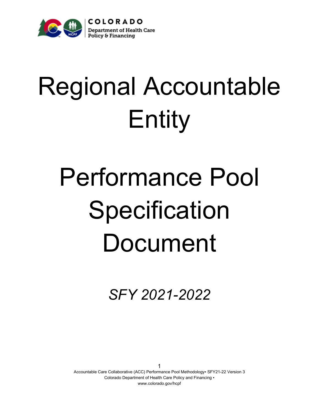

# Regional Accountable Entity

# Performance Pool **Specification** Document

*SFY 2021-2022*

1 Accountable Care Collaborative (ACC) Performance Pool Methodology▪ SFY21-22 Version 3 Colorado Department of Health Care Policy and Financing • www.colorado.gov/hcpf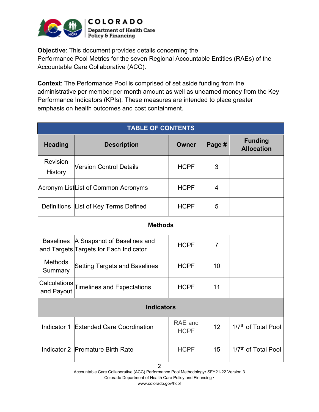

**Objective**: This document provides details concerning the Performance Pool Metrics for the seven Regional Accountable Entities (RAEs) of the Accountable Care Collaborative (ACC).

**Context**: The Performance Pool is comprised of set aside funding from the administrative per member per month amount as well as unearned money from the Key Performance Indicators (KPIs). These measures are intended to place greater emphasis on health outcomes and cost containment.

| <b>TABLE OF CONTENTS</b>          |                                                                       |                        |        |                                     |  |  |  |
|-----------------------------------|-----------------------------------------------------------------------|------------------------|--------|-------------------------------------|--|--|--|
| <b>Heading</b>                    | <b>Description</b>                                                    | Owner                  | Page # | <b>Funding</b><br><b>Allocation</b> |  |  |  |
| Revision<br><b>History</b>        | <b>Version Control Details</b>                                        | <b>HCPF</b>            | 3      |                                     |  |  |  |
|                                   | Acronym ListList of Common Acronyms                                   | <b>HCPF</b>            | 4      |                                     |  |  |  |
|                                   | Definitions List of Key Terms Defined                                 | <b>HCPF</b>            | 5      |                                     |  |  |  |
|                                   | <b>Methods</b>                                                        |                        |        |                                     |  |  |  |
| <b>Baselines</b>                  | A Snapshot of Baselines and<br>and Targets Targets for Each Indicator | <b>HCPF</b>            | 7      |                                     |  |  |  |
| <b>Methods</b><br>Summary         | <b>Setting Targets and Baselines</b>                                  | <b>HCPF</b>            | 10     |                                     |  |  |  |
| <b>Calculations</b><br>and Payout | <b>Timelines and Expectations</b>                                     | <b>HCPF</b>            | 11     |                                     |  |  |  |
| <b>Indicators</b>                 |                                                                       |                        |        |                                     |  |  |  |
|                                   | Indicator 1 Extended Care Coordination                                | RAE and<br><b>HCPF</b> | 12     | 1/7 <sup>th</sup> of Total Pool     |  |  |  |
|                                   | Indicator 2 Premature Birth Rate                                      | <b>HCPF</b>            | 15     | 1/7 <sup>th</sup> of Total Pool     |  |  |  |

2

Accountable Care Collaborative (ACC) Performance Pool Methodology▪ SFY21-22 Version 3

Colorado Department of Health Care Policy and Financing ▪

www.colorado.gov/hcpf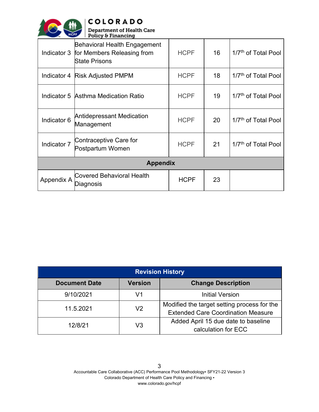

**COLORADO**<br>Department of Health Care<br>Policy & Financing

| Indicator 3     | Behavioral Health Engagement<br>for Members Releasing from<br>State Prisons | <b>HCPF</b> | 16 | 1/7 <sup>th</sup> of Total Pool |  |  |
|-----------------|-----------------------------------------------------------------------------|-------------|----|---------------------------------|--|--|
| Indicator 4     | <b>Risk Adjusted PMPM</b>                                                   | <b>HCPF</b> | 18 | 1/7 <sup>th</sup> of Total Pool |  |  |
|                 | Indicator 5 Asthma Medication Ratio                                         | <b>HCPF</b> | 19 | 1/7 <sup>th</sup> of Total Pool |  |  |
| Indicator 6     | <b>Antidepressant Medication</b><br>Management                              | <b>HCPF</b> | 20 | 1/7 <sup>th</sup> of Total Pool |  |  |
| Indicator 7     | Contraceptive Care for<br>Postpartum Women                                  | <b>HCPF</b> | 21 | 1/7 <sup>th</sup> of Total Pool |  |  |
| <b>Appendix</b> |                                                                             |             |    |                                 |  |  |
| Appendix A      | <b>Covered Behavioral Health</b><br>Diagnosis                               | <b>HCPF</b> | 23 |                                 |  |  |

| <b>Revision History</b> |                |                                                                                          |  |  |  |
|-------------------------|----------------|------------------------------------------------------------------------------------------|--|--|--|
| <b>Document Date</b>    | <b>Version</b> | <b>Change Description</b>                                                                |  |  |  |
| 9/10/2021               | V1             | <b>Initial Version</b>                                                                   |  |  |  |
| 11.5.2021               | V <sub>2</sub> | Modified the target setting process for the<br><b>Extended Care Coordination Measure</b> |  |  |  |
| 12/8/21                 | V3             | Added April 15 due date to baseline<br>calculation for ECC                               |  |  |  |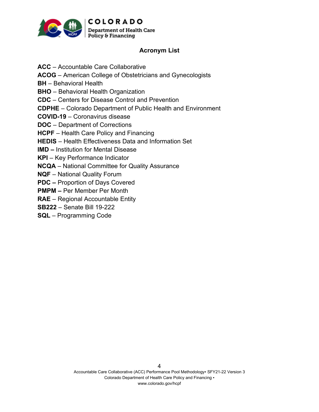

### **Acronym List**

**ACC** – Accountable Care Collaborative **ACOG** – American College of Obstetricians and Gynecologists **BH** – Behavioral Health **BHO** – Behavioral Health Organization **CDC** – Centers for Disease Control and Prevention **CDPHE** – Colorado Department of Public Health and Environment **COVID-19** – Coronavirus disease **DOC** – Department of Corrections **HCPF** – Health Care Policy and Financing **HEDIS** – Health Effectiveness Data and Information Set **IMD –** Institution for Mental Disease **KPI** – Key Performance Indicator **NCQA** – National Committee for Quality Assurance **NQF** – National Quality Forum **PDC –** Proportion of Days Covered **PMPM –** Per Member Per Month **RAE** – Regional Accountable Entity

**SB222** – Senate Bill 19-222

**SQL** – Programming Code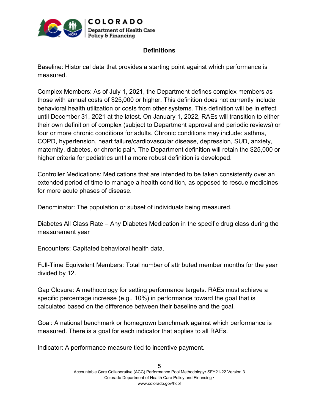

## **Definitions**

Baseline: Historical data that provides a starting point against which performance is measured.

Complex Members: As of July 1, 2021, the Department defines complex members as those with annual costs of \$25,000 or higher. This definition does not currently include behavioral health utilization or costs from other systems. This definition will be in effect until December 31, 2021 at the latest. On January 1, 2022, RAEs will transition to either their own definition of complex (subject to Department approval and periodic reviews) or four or more chronic conditions for adults. Chronic conditions may include: asthma, COPD, hypertension, heart failure/cardiovascular disease, depression, SUD, anxiety, maternity, diabetes, or chronic pain. The Department definition will retain the \$25,000 or higher criteria for pediatrics until a more robust definition is developed.

Controller Medications: Medications that are intended to be taken consistently over an extended period of time to manage a health condition, as opposed to rescue medicines for more acute phases of disease.

Denominator: The population or subset of individuals being measured.

Diabetes All Class Rate – Any Diabetes Medication in the specific drug class during the measurement year

Encounters: Capitated behavioral health data.

Full-Time Equivalent Members: Total number of attributed member months for the year divided by 12.

Gap Closure: A methodology for setting performance targets. RAEs must achieve a specific percentage increase (e.g., 10%) in performance toward the goal that is calculated based on the difference between their baseline and the goal.

Goal: A national benchmark or homegrown benchmark against which performance is measured. There is a goal for each indicator that applies to all RAEs.

Indicator: A performance measure tied to incentive payment.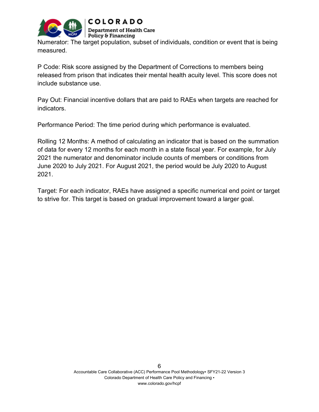

Numerator: The target population, subset of individuals, condition or event that is being measured.

P Code: Risk score assigned by the Department of Corrections to members being released from prison that indicates their mental health acuity level. This score does not include substance use.

Pay Out: Financial incentive dollars that are paid to RAEs when targets are reached for indicators.

Performance Period: The time period during which performance is evaluated.

Rolling 12 Months: A method of calculating an indicator that is based on the summation of data for every 12 months for each month in a state fiscal year. For example, for July 2021 the numerator and denominator include counts of members or conditions from June 2020 to July 2021. For August 2021, the period would be July 2020 to August 2021.

Target: For each indicator, RAEs have assigned a specific numerical end point or target to strive for. This target is based on gradual improvement toward a larger goal.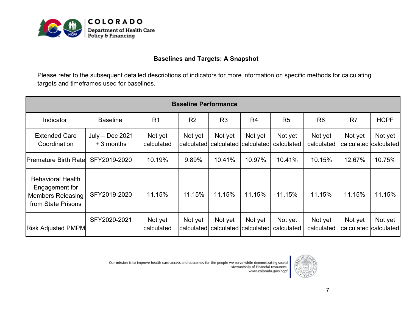

#### **Baselines and Targets: A Snapshot**

Please refer to the subsequent detailed descriptions of indicators for more information on specific methods for calculating targets and timeframes used for baselines.

| <b>Baseline Performance</b>                                                                  |                                |                       |                       |                                      |                |                       |                       |                                  |                                  |
|----------------------------------------------------------------------------------------------|--------------------------------|-----------------------|-----------------------|--------------------------------------|----------------|-----------------------|-----------------------|----------------------------------|----------------------------------|
| Indicator                                                                                    | <b>Baseline</b>                | R <sub>1</sub>        | R <sub>2</sub>        | R <sub>3</sub>                       | R <sub>4</sub> | R <sub>5</sub>        | R <sub>6</sub>        | R <sub>7</sub>                   | <b>HCPF</b>                      |
| <b>Extended Care</b><br>Coordination                                                         | July - Dec 2021<br>$+3$ months | Not yet<br>calculated | Not yet<br>calculated | Not yet<br>  calculated   calculated | Not yet        | Not yet<br>calculated | Not yet<br>calculated | Not yet                          | Not yet<br>calculated calculated |
| <b>Premature Birth Ratel</b>                                                                 | SFY2019-2020                   | 10.19%                | 9.89%                 | 10.41%                               | 10.97%         | 10.41%                | 10.15%                | 12.67%                           | 10.75%                           |
| <b>Behavioral Health</b><br>Engagement for<br><b>Members Releasing</b><br>from State Prisons | SFY2019-2020                   | 11.15%                | 11.15%                | 11.15%                               | 11.15%         | 11.15%                | 11.15%                | 11.15%                           | 11.15%                           |
| <b>Risk Adjusted PMPM</b>                                                                    | SFY2020-2021                   | Not yet<br>calculated | Not yet<br>calculated | Not yet<br>calculated calculated     | Not yet        | Not yet<br>calculated | Not yet<br>calculated | Not yet<br>calculated calculated | Not yet                          |

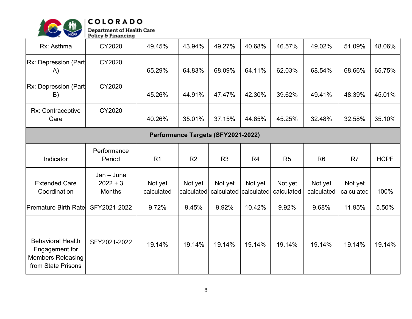

| Rx: Asthma                                                                                   | CY2020                                      | 49.45%                | 43.94%                | 49.27%                | 40.68%                | 46.57%                | 49.02%                | 51.09%                | 48.06%      |
|----------------------------------------------------------------------------------------------|---------------------------------------------|-----------------------|-----------------------|-----------------------|-----------------------|-----------------------|-----------------------|-----------------------|-------------|
| Rx: Depression (Part)<br>A)                                                                  | CY2020                                      | 65.29%                | 64.83%                | 68.09%                | 64.11%                | 62.03%                | 68.54%                | 68.66%                | 65.75%      |
| Rx: Depression (Part<br>B)                                                                   | CY2020                                      | 45.26%                | 44.91%                | 47.47%                | 42.30%                | 39.62%                | 49.41%                | 48.39%                | 45.01%      |
| Rx: Contraceptive<br>Care                                                                    | CY2020                                      | 40.26%                | 35.01%                | 37.15%                | 44.65%                | 45.25%                | 32.48%                | 32.58%                | 35.10%      |
|                                                                                              | Performance Targets (SFY2021-2022)          |                       |                       |                       |                       |                       |                       |                       |             |
| Indicator                                                                                    | Performance<br>Period                       | R <sub>1</sub>        | R <sub>2</sub>        | R <sub>3</sub>        | R <sub>4</sub>        | R <sub>5</sub>        | R <sub>6</sub>        | R7                    | <b>HCPF</b> |
| <b>Extended Care</b><br>Coordination                                                         | $Jan - June$<br>$2022 + 3$<br><b>Months</b> | Not yet<br>calculated | Not yet<br>calculated | Not yet<br>calculated | Not yet<br>calculated | Not yet<br>calculated | Not yet<br>calculated | Not yet<br>calculated | 100%        |
| <b>Premature Birth Rate</b>                                                                  | SFY2021-2022                                | 9.72%                 | 9.45%                 | 9.92%                 | 10.42%                | 9.92%                 | 9.68%                 | 11.95%                | 5.50%       |
| <b>Behavioral Health</b><br>Engagement for<br><b>Members Releasing</b><br>from State Prisons | SFY2021-2022                                | 19.14%                | 19.14%                | 19.14%                | 19.14%                | 19.14%                | 19.14%                | 19.14%                | 19.14%      |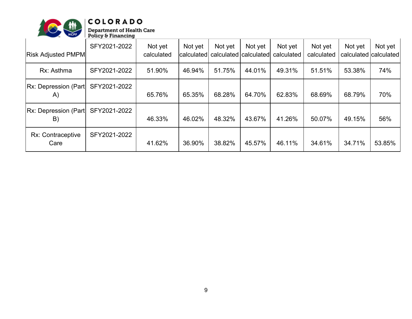

## $|COLORADO$

| <b>Risk Adjusted PMPM</b>          | SFY2021-2022 | Not yet<br>calculated | Not yet<br><b>calculated</b> | Not yet<br>calculated calculated | Not yet | Not yet<br>calculated | Not yet<br>calculated | Not yet<br>calculated calculated | Not yet |
|------------------------------------|--------------|-----------------------|------------------------------|----------------------------------|---------|-----------------------|-----------------------|----------------------------------|---------|
| Rx: Asthma                         | SFY2021-2022 | 51.90%                | 46.94%                       | 51.75%                           | 44.01%  | 49.31%                | 51.51%                | 53.38%                           | 74%     |
| <b>Rx: Depression (Part)</b><br>A) | SFY2021-2022 | 65.76%                | 65.35%                       | 68.28%                           | 64.70%  | 62.83%                | 68.69%                | 68.79%                           | 70%     |
| <b>Rx: Depression (Part)</b><br>B) | SFY2021-2022 | 46.33%                | 46.02%                       | 48.32%                           | 43.67%  | 41.26%                | 50.07%                | 49.15%                           | 56%     |
| Rx: Contraceptive<br>Care          | SFY2021-2022 | 41.62%                | 36.90%                       | 38.82%                           | 45.57%  | 46.11%                | 34.61%                | 34.71%                           | 53.85%  |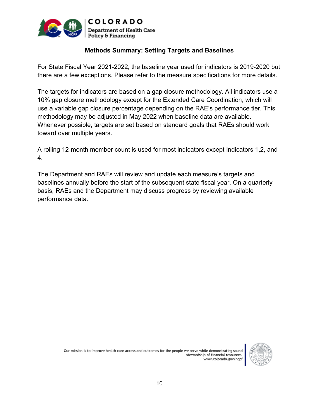

#### **Methods Summary: Setting Targets and Baselines**

For State Fiscal Year 2021-2022, the baseline year used for indicators is 2019-2020 but there are a few exceptions. Please refer to the measure specifications for more details.

The targets for indicators are based on a gap closure methodology. All indicators use a 10% gap closure methodology except for the Extended Care Coordination, which will use a variable gap closure percentage depending on the RAE's performance tier. This methodology may be adjusted in May 2022 when baseline data are available. Whenever possible, targets are set based on standard goals that RAEs should work toward over multiple years.

A rolling 12-month member count is used for most indicators except Indicators 1,2, and 4.

The Department and RAEs will review and update each measure's targets and baselines annually before the start of the subsequent state fiscal year. On a quarterly basis, RAEs and the Department may discuss progress by reviewing available performance data.



Our mission is to improve health care access and outcomes for the people we serve while demonstrating sound stewardship of financial resources.<br>www.colorado.gov/hcpf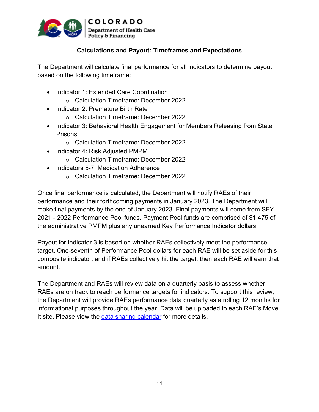

## **Calculations and Payout: Timeframes and Expectations**

The Department will calculate final performance for all indicators to determine payout based on the following timeframe:

- Indicator 1: Extended Care Coordination
	- o Calculation Timeframe: December 2022
- Indicator 2: Premature Birth Rate
	- o Calculation Timeframe: December 2022
- Indicator 3: Behavioral Health Engagement for Members Releasing from State **Prisons** 
	- o Calculation Timeframe: December 2022
- Indicator 4: Risk Adjusted PMPM
	- o Calculation Timeframe: December 2022
- Indicators 5-7: Medication Adherence
	- o Calculation Timeframe: December 2022

Once final performance is calculated, the Department will notify RAEs of their performance and their forthcoming payments in January 2023. The Department will make final payments by the end of January 2023. Final payments will come from SFY 2021 - 2022 Performance Pool funds. Payment Pool funds are comprised of \$1.475 of the administrative PMPM plus any unearned Key Performance Indicator dollars.

Payout for Indicator 3 is based on whether RAEs collectively meet the performance target. One-seventh of Performance Pool dollars for each RAE will be set aside for this composite indicator, and if RAEs collectively hit the target, then each RAE will earn that amount.

The Department and RAEs will review data on a quarterly basis to assess whether RAEs are on track to reach performance targets for indicators. To support this review, the Department will provide RAEs performance data quarterly as a rolling 12 months for informational purposes throughout the year. Data will be uploaded to each RAE's Move It site. Please view the data [sharing calendar](https://cohcpf.sharepoint.com/:x:/r/sites/RAE/_layouts/15/Doc.aspx?sourcedoc=%7BB7F327EB-7BF8-4F1B-9705-58BE19B78493%7D&file=Performance%20Pool%20-%20Data%20Time%20Table%20SFY21-22.xlsx&action=default&mobileredirect=true) for more details.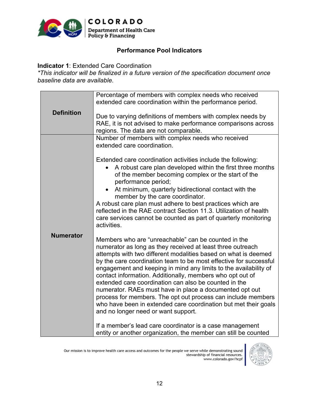

#### **Performance Pool Indicators**

#### **Indicator 1**: Extended Care Coordination

*\*This indicator will be finalized in a future version of the specification document once baseline data are available.*

|                   | Percentage of members with complex needs who received             |
|-------------------|-------------------------------------------------------------------|
|                   | extended care coordination within the performance period.         |
|                   |                                                                   |
| <b>Definition</b> |                                                                   |
|                   | Due to varying definitions of members with complex needs by       |
|                   | RAE, it is not advised to make performance comparisons across     |
|                   | regions. The data are not comparable.                             |
|                   | Number of members with complex needs who received                 |
|                   | extended care coordination.                                       |
|                   |                                                                   |
|                   |                                                                   |
|                   | Extended care coordination activities include the following:      |
|                   | A robust care plan developed within the first three months        |
|                   | of the member becoming complex or the start of the                |
|                   | performance period;                                               |
|                   | At minimum, quarterly bidirectional contact with the<br>$\bullet$ |
|                   | member by the care coordinator.                                   |
|                   |                                                                   |
|                   | A robust care plan must adhere to best practices which are        |
|                   | reflected in the RAE contract Section 11.3. Utilization of health |
|                   | care services cannot be counted as part of quarterly monitoring   |
|                   | activities.                                                       |
|                   |                                                                   |
| <b>Numerator</b>  | Members who are "unreachable" can be counted in the               |
|                   | numerator as long as they received at least three outreach        |
|                   |                                                                   |
|                   | attempts with two different modalities based on what is deemed    |
|                   | by the care coordination team to be most effective for successful |
|                   | engagement and keeping in mind any limits to the availability of  |
|                   | contact information. Additionally, members who opt out of         |
|                   | extended care coordination can also be counted in the             |
|                   | numerator. RAEs must have in place a documented opt out           |
|                   | process for members. The opt out process can include members      |
|                   |                                                                   |
|                   | who have been in extended care coordination but met their goals   |
|                   | and no longer need or want support.                               |
|                   |                                                                   |
|                   | If a member's lead care coordinator is a case management          |
|                   | entity or another organization, the member can still be counted   |

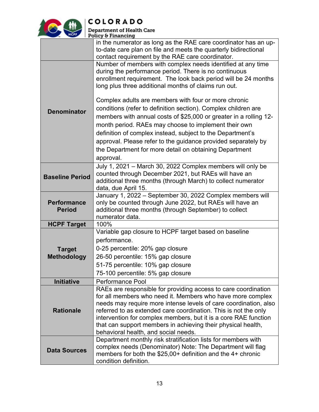

| <b>HCPF</b>                         | Policy & Financing                                                                                                                                                                                                                                                                                                                                                                                                                             |
|-------------------------------------|------------------------------------------------------------------------------------------------------------------------------------------------------------------------------------------------------------------------------------------------------------------------------------------------------------------------------------------------------------------------------------------------------------------------------------------------|
|                                     | in the numerator as long as the RAE care coordinator has an up-<br>to-date care plan on file and meets the quarterly bidirectional<br>contact requirement by the RAE care coordinator.                                                                                                                                                                                                                                                         |
|                                     | Number of members with complex needs identified at any time<br>during the performance period. There is no continuous<br>enrollment requirement. The look back period will be 24 months<br>long plus three additional months of claims run out.                                                                                                                                                                                                 |
| <b>Denominator</b>                  | Complex adults are members with four or more chronic<br>conditions (refer to definition section). Complex children are<br>members with annual costs of \$25,000 or greater in a rolling 12-<br>month period. RAEs may choose to implement their own<br>definition of complex instead, subject to the Department's<br>approval. Please refer to the guidance provided separately by<br>the Department for more detail on obtaining Department   |
| <b>Baseline Period</b>              | approval.<br>July 1, 2021 - March 30, 2022 Complex members will only be<br>counted through December 2021, but RAEs will have an<br>additional three months (through March) to collect numerator<br>data, due April 15.                                                                                                                                                                                                                         |
| <b>Performance</b><br><b>Period</b> | January 1, 2022 - September 30, 2022 Complex members will<br>only be counted through June 2022, but RAEs will have an<br>additional three months (through September) to collect<br>numerator data.                                                                                                                                                                                                                                             |
| <b>HCPF Target</b>                  | 100%                                                                                                                                                                                                                                                                                                                                                                                                                                           |
| <b>Target</b><br><b>Methodology</b> | Variable gap closure to HCPF target based on baseline<br>performance.<br>0-25 percentile: 20% gap closure<br>26-50 percentile: 15% gap closure<br>51-75 percentile: 10% gap closure<br>75-100 percentile: 5% gap closure                                                                                                                                                                                                                       |
| <b>Initiative</b>                   | <b>Performance Pool</b>                                                                                                                                                                                                                                                                                                                                                                                                                        |
| <b>Rationale</b>                    | RAEs are responsible for providing access to care coordination<br>for all members who need it. Members who have more complex<br>needs may require more intense levels of care coordination, also<br>referred to as extended care coordination. This is not the only<br>intervention for complex members, but it is a core RAE function<br>that can support members in achieving their physical health,<br>behavioral health, and social needs. |
| <b>Data Sources</b>                 | Department monthly risk stratification lists for members with<br>complex needs (Denominator) Note: The Department will flag<br>members for both the $$25,00+$ definition and the 4+ chronic<br>condition definition.                                                                                                                                                                                                                           |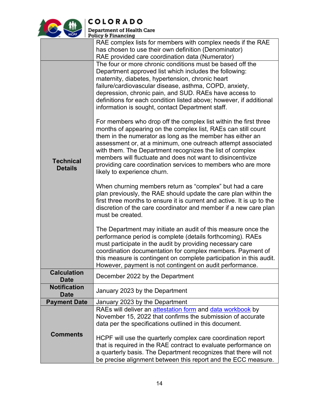

| <b>HCPF</b>         | Department of Health Care<br>Policy & Financing                                                                                 |
|---------------------|---------------------------------------------------------------------------------------------------------------------------------|
|                     | RAE complex lists for members with complex needs if the RAE                                                                     |
|                     | has chosen to use their own definition (Denominator)                                                                            |
|                     | RAE provided care coordination data (Numerator)                                                                                 |
|                     | The four or more chronic conditions must be based off the                                                                       |
|                     | Department approved list which includes the following:                                                                          |
|                     | maternity, diabetes, hypertension, chronic heart                                                                                |
|                     | failure/cardiovascular disease, asthma, COPD, anxiety,                                                                          |
|                     | depression, chronic pain, and SUD. RAEs have access to<br>definitions for each condition listed above; however, if additional   |
|                     | information is sought, contact Department staff.                                                                                |
|                     |                                                                                                                                 |
|                     | For members who drop off the complex list within the first three                                                                |
|                     | months of appearing on the complex list, RAEs can still count                                                                   |
|                     | them in the numerator as long as the member has either an                                                                       |
|                     | assessment or, at a minimum, one outreach attempt associated                                                                    |
|                     | with them. The Department recognizes the list of complex                                                                        |
| <b>Technical</b>    | members will fluctuate and does not want to disincentivize                                                                      |
| <b>Details</b>      | providing care coordination services to members who are more<br>likely to experience churn.                                     |
|                     |                                                                                                                                 |
|                     | When churning members return as "complex" but had a care                                                                        |
|                     | plan previously, the RAE should update the care plan within the                                                                 |
|                     | first three months to ensure it is current and active. It is up to the                                                          |
|                     | discretion of the care coordinator and member if a new care plan                                                                |
|                     | must be created.                                                                                                                |
|                     | The Department may initiate an audit of this measure once the                                                                   |
|                     | performance period is complete (details forthcoming). RAEs                                                                      |
|                     | must participate in the audit by providing necessary care                                                                       |
|                     | coordination documentation for complex members. Payment of                                                                      |
|                     | this measure is contingent on complete participation in this audit.<br>However, payment is not contingent on audit performance. |
| <b>Calculation</b>  |                                                                                                                                 |
| <b>Date</b>         | December 2022 by the Department                                                                                                 |
| <b>Notification</b> | January 2023 by the Department                                                                                                  |
| <b>Date</b>         |                                                                                                                                 |
| <b>Payment Date</b> | January 2023 by the Department<br>RAEs will deliver an attestation form and data workbook by                                    |
|                     | November 15, 2022 that confirms the submission of accurate                                                                      |
|                     | data per the specifications outlined in this document.                                                                          |
| <b>Comments</b>     |                                                                                                                                 |
|                     | HCPF will use the quarterly complex care coordination report                                                                    |
|                     | that is required in the RAE contract to evaluate performance on                                                                 |
|                     | a quarterly basis. The Department recognizes that there will not                                                                |
|                     | be precise alignment between this report and the ECC measure.                                                                   |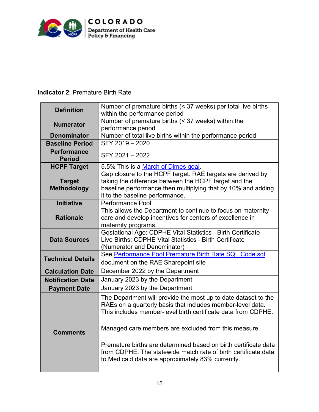

## **Indicator 2**: Premature Birth Rate

| <b>Definition</b>                   | Number of premature births (< 37 weeks) per total live births<br>within the performance period                                                                                                                                                                                                                                                                                                                                                  |
|-------------------------------------|-------------------------------------------------------------------------------------------------------------------------------------------------------------------------------------------------------------------------------------------------------------------------------------------------------------------------------------------------------------------------------------------------------------------------------------------------|
| <b>Numerator</b>                    | Number of premature births (< 37 weeks) within the<br>performance period                                                                                                                                                                                                                                                                                                                                                                        |
| <b>Denominator</b>                  | Number of total live births within the performance period                                                                                                                                                                                                                                                                                                                                                                                       |
| <b>Baseline Period</b>              | SFY 2019 - 2020                                                                                                                                                                                                                                                                                                                                                                                                                                 |
| <b>Performance</b><br><b>Period</b> | SFY 2021-2022                                                                                                                                                                                                                                                                                                                                                                                                                                   |
| <b>HCPF Target</b>                  | 5.5% This is a March of Dimes goal.                                                                                                                                                                                                                                                                                                                                                                                                             |
| <b>Target</b><br><b>Methodology</b> | Gap closure to the HCPF target. RAE targets are derived by<br>taking the difference between the HCPF target and the<br>baseline performance then multiplying that by 10% and adding<br>it to the baseline performance.                                                                                                                                                                                                                          |
| <b>Initiative</b>                   | <b>Performance Pool</b>                                                                                                                                                                                                                                                                                                                                                                                                                         |
| <b>Rationale</b>                    | This allows the Department to continue to focus on maternity<br>care and develop incentives for centers of excellence in<br>maternity programs.                                                                                                                                                                                                                                                                                                 |
| <b>Data Sources</b>                 | Gestational Age: CDPHE Vital Statistics - Birth Certificate<br>Live Births: CDPHE Vital Statistics - Birth Certificate<br>(Numerator and Denominator)                                                                                                                                                                                                                                                                                           |
| <b>Technical Details</b>            | See Performance Pool Premature Birth Rate SQL Code.sql<br>document on the RAE Sharepoint site                                                                                                                                                                                                                                                                                                                                                   |
| <b>Calculation Date</b>             | December 2022 by the Department                                                                                                                                                                                                                                                                                                                                                                                                                 |
| <b>Notification Date</b>            | January 2023 by the Department                                                                                                                                                                                                                                                                                                                                                                                                                  |
| <b>Payment Date</b>                 | January 2023 by the Department                                                                                                                                                                                                                                                                                                                                                                                                                  |
| <b>Comments</b>                     | The Department will provide the most up to date dataset to the<br>RAEs on a quarterly basis that includes member-level data.<br>This includes member-level birth certificate data from CDPHE.<br>Managed care members are excluded from this measure.<br>Premature births are determined based on birth certificate data<br>from CDPHE. The statewide match rate of birth certificate data<br>to Medicaid data are approximately 83% currently. |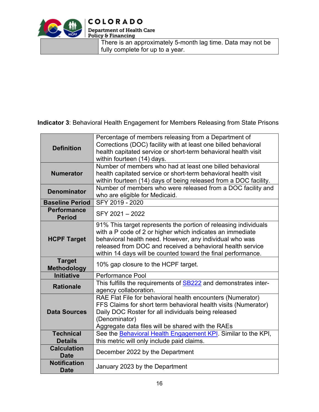

## **COLORADO**

**Department of Health Care<br>Policy & Financing** 

There is an approximately 5-month lag time. Data may not be fully complete for up to a year.

**Indicator 3**: Behavioral Health Engagement for Members Releasing from State Prisons

| <b>Definition</b>                   | Percentage of members releasing from a Department of<br>Corrections (DOC) facility with at least one billed behavioral<br>health capitated service or short-term behavioral health visit<br>within fourteen (14) days.                                                                                                |
|-------------------------------------|-----------------------------------------------------------------------------------------------------------------------------------------------------------------------------------------------------------------------------------------------------------------------------------------------------------------------|
| <b>Numerator</b>                    | Number of members who had at least one billed behavioral<br>health capitated service or short-term behavioral health visit<br>within fourteen (14) days of being released from a DOC facility.                                                                                                                        |
| <b>Denominator</b>                  | Number of members who were released from a DOC facility and<br>who are eligible for Medicaid.                                                                                                                                                                                                                         |
| <b>Baseline Period</b>              | SFY 2019 - 2020                                                                                                                                                                                                                                                                                                       |
| <b>Performance</b><br><b>Period</b> | SFY 2021 - 2022                                                                                                                                                                                                                                                                                                       |
| <b>HCPF Target</b>                  | 91% This target represents the portion of releasing individuals<br>with a P code of 2 or higher which indicates an immediate<br>behavioral health need. However, any individual who was<br>released from DOC and received a behavioral health service<br>within 14 days will be counted toward the final performance. |
| <b>Target</b><br><b>Methodology</b> | 10% gap closure to the HCPF target.                                                                                                                                                                                                                                                                                   |
| <b>Initiative</b>                   | <b>Performance Pool</b>                                                                                                                                                                                                                                                                                               |
| <b>Rationale</b>                    | This fulfills the requirements of <b>SB222</b> and demonstrates inter-<br>agency collaboration.                                                                                                                                                                                                                       |
| <b>Data Sources</b>                 | RAE Flat File for behavioral health encounters (Numerator)<br>FFS Claims for short term behavioral health visits (Numerator)<br>Daily DOC Roster for all individuals being released<br>(Denominator)<br>Aggregate data files will be shared with the RAEs                                                             |
| <b>Technical</b>                    | See the Behavioral Health Engagement KPI. Similar to the KPI,                                                                                                                                                                                                                                                         |
| <b>Details</b>                      | this metric will only include paid claims.                                                                                                                                                                                                                                                                            |
| <b>Calculation</b><br><b>Date</b>   | December 2022 by the Department                                                                                                                                                                                                                                                                                       |
| <b>Notification</b><br><b>Date</b>  | January 2023 by the Department                                                                                                                                                                                                                                                                                        |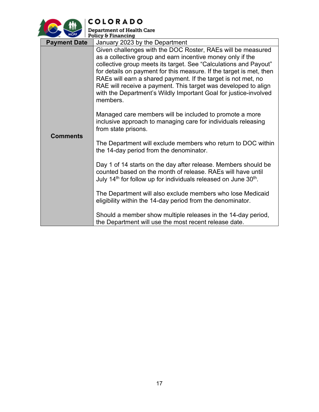

| <b>Department of Health Care</b> |  |
|----------------------------------|--|
| Policy & Financing               |  |

|                     | $\Gamma$ roucy of ritial cliffs                                                                                                                                                                                                                                                                                                                                                                                                                                                         |  |
|---------------------|-----------------------------------------------------------------------------------------------------------------------------------------------------------------------------------------------------------------------------------------------------------------------------------------------------------------------------------------------------------------------------------------------------------------------------------------------------------------------------------------|--|
| <b>Payment Date</b> | January 2023 by the Department                                                                                                                                                                                                                                                                                                                                                                                                                                                          |  |
| <b>Comments</b>     | Given challenges with the DOC Roster, RAEs will be measured<br>as a collective group and earn incentive money only if the<br>collective group meets its target. See "Calculations and Payout"<br>for details on payment for this measure. If the target is met, then<br>RAEs will earn a shared payment. If the target is not met, no<br>RAE will receive a payment. This target was developed to align<br>with the Department's Wildly Important Goal for justice-involved<br>members. |  |
|                     | Managed care members will be included to promote a more<br>inclusive approach to managing care for individuals releasing<br>from state prisons.                                                                                                                                                                                                                                                                                                                                         |  |
|                     | The Department will exclude members who return to DOC within<br>the 14-day period from the denominator.                                                                                                                                                                                                                                                                                                                                                                                 |  |
|                     | Day 1 of 14 starts on the day after release. Members should be<br>counted based on the month of release. RAEs will have until<br>July 14 <sup>th</sup> for follow up for individuals released on June 30 <sup>th</sup> .                                                                                                                                                                                                                                                                |  |
|                     | The Department will also exclude members who lose Medicaid<br>eligibility within the 14-day period from the denominator.                                                                                                                                                                                                                                                                                                                                                                |  |
|                     | Should a member show multiple releases in the 14-day period,<br>the Department will use the most recent release date.                                                                                                                                                                                                                                                                                                                                                                   |  |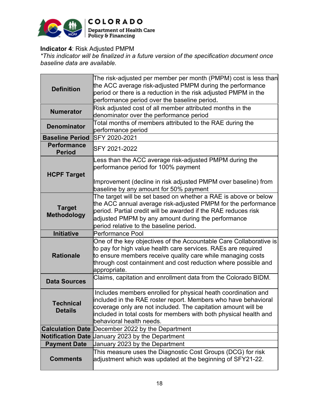

#### **Indicator 4**: Risk Adjusted PMPM

*\*This indicator will be finalized in a future version of the specification document once baseline data are available.*

| <b>Definition</b>                   | The risk-adjusted per member per month (PMPM) cost is less than<br>the ACC average risk-adjusted PMPM during the performance<br>period or there is a reduction in the risk adjusted PMPM in the                                                                                                     |  |  |  |
|-------------------------------------|-----------------------------------------------------------------------------------------------------------------------------------------------------------------------------------------------------------------------------------------------------------------------------------------------------|--|--|--|
| <b>Numerator</b>                    | performance period over the baseline period.<br>Risk adjusted cost of all member attributed months in the<br>denominator over the performance period                                                                                                                                                |  |  |  |
| <b>Denominator</b>                  | Total months of members attributed to the RAE during the<br>performance period                                                                                                                                                                                                                      |  |  |  |
| <b>Baseline Period</b>              | SFY 2020-2021                                                                                                                                                                                                                                                                                       |  |  |  |
| <b>Performance</b><br><b>Period</b> | SFY 2021-2022                                                                                                                                                                                                                                                                                       |  |  |  |
| <b>HCPF Target</b>                  | Less than the ACC average risk-adjusted PMPM during the<br>performance period for 100% payment<br>Improvement (decline in risk adjusted PMPM over baseline) from                                                                                                                                    |  |  |  |
|                                     | baseline by any amount for 50% payment                                                                                                                                                                                                                                                              |  |  |  |
| <b>Target</b><br><b>Methodology</b> | The target will be set based on whether a RAE is above or below<br>the ACC annual average risk-adjusted PMPM for the performance<br>period. Partial credit will be awarded if the RAE reduces risk<br>adjusted PMPM by any amount during the performance<br>period relative to the baseline period. |  |  |  |
| <b>Initiative</b>                   | Performance Pool                                                                                                                                                                                                                                                                                    |  |  |  |
| <b>Rationale</b>                    | One of the key objectives of the Accountable Care Collaborative is<br>to pay for high value health care services. RAEs are required<br>to ensure members receive quality care while managing costs<br>through cost containment and cost reduction where possible and<br>appropriate.                |  |  |  |
| <b>Data Sources</b>                 | Claims, capitation and enrollment data from the Colorado BIDM.                                                                                                                                                                                                                                      |  |  |  |
| <b>Technical</b><br><b>Details</b>  | Includes members enrolled for physical heath coordination and<br>included in the RAE roster report. Members who have behavioral<br>coverage only are not included. The capitation amount will be<br>included in total costs for members with both physical health and<br>behavioral health needs.   |  |  |  |
|                                     | <b>Calculation Date December 2022 by the Department</b>                                                                                                                                                                                                                                             |  |  |  |
| <b>Notification Date</b>            | January 2023 by the Department                                                                                                                                                                                                                                                                      |  |  |  |
| <b>Payment Date</b>                 | January 2023 by the Department                                                                                                                                                                                                                                                                      |  |  |  |
| <b>Comments</b>                     | This measure uses the Diagnostic Cost Groups (DCG) for risk<br>adjustment which was updated at the beginning of SFY21-22.                                                                                                                                                                           |  |  |  |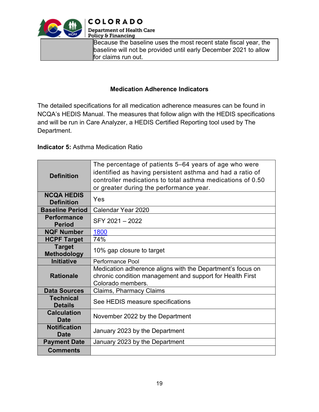

**COLORADO** 

**Department of Health Care** Policy & Financing

Because the baseline uses the most recent state fiscal year, the baseline will not be provided until early December 2021 to allow for claims run out.

#### **Medication Adherence Indicators**

The detailed specifications for all medication adherence measures can be found in NCQA's HEDIS Manual. The measures that follow align with the HEDIS specifications and will be run in Care Analyzer, a HEDIS Certified Reporting tool used by The Department.

#### **Indicator 5:** Asthma Medication Ratio

| <b>Definition</b>                      | The percentage of patients 5–64 years of age who were<br>identified as having persistent asthma and had a ratio of<br>controller medications to total asthma medications of 0.50<br>or greater during the performance year. |  |  |
|----------------------------------------|-----------------------------------------------------------------------------------------------------------------------------------------------------------------------------------------------------------------------------|--|--|
| <b>NCQA HEDIS</b><br><b>Definition</b> | Yes                                                                                                                                                                                                                         |  |  |
| <b>Baseline Period</b>                 | Calendar Year 2020                                                                                                                                                                                                          |  |  |
| <b>Performance</b><br><b>Period</b>    | SFY 2021 - 2022                                                                                                                                                                                                             |  |  |
| <b>NQF Number</b>                      | 1800                                                                                                                                                                                                                        |  |  |
| <b>HCPF Target</b>                     | 74%                                                                                                                                                                                                                         |  |  |
| <b>Target</b><br><b>Methodology</b>    | 10% gap closure to target                                                                                                                                                                                                   |  |  |
| <b>Initiative</b>                      | Performance Pool                                                                                                                                                                                                            |  |  |
| <b>Rationale</b>                       | Medication adherence aligns with the Department's focus on<br>chronic condition management and support for Health First<br>Colorado members.                                                                                |  |  |
| <b>Data Sources</b>                    | Claims, Pharmacy Claims                                                                                                                                                                                                     |  |  |
| <b>Technical</b><br><b>Details</b>     | See HEDIS measure specifications                                                                                                                                                                                            |  |  |
| <b>Calculation</b><br><b>Date</b>      | November 2022 by the Department                                                                                                                                                                                             |  |  |
| <b>Notification</b><br>Date            | January 2023 by the Department                                                                                                                                                                                              |  |  |
| <b>Payment Date</b>                    | January 2023 by the Department                                                                                                                                                                                              |  |  |
| <b>Comments</b>                        |                                                                                                                                                                                                                             |  |  |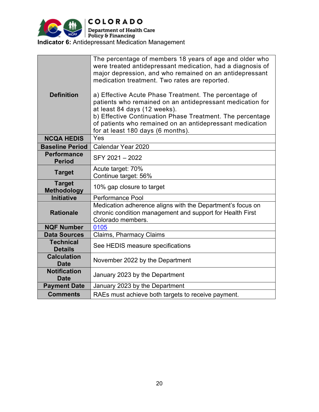

| <b>Definition</b>                   | The percentage of members 18 years of age and older who<br>were treated antidepressant medication, had a diagnosis of<br>major depression, and who remained on an antidepressant<br>medication treatment. Two rates are reported.<br>a) Effective Acute Phase Treatment. The percentage of<br>patients who remained on an antidepressant medication for<br>at least 84 days (12 weeks).<br>b) Effective Continuation Phase Treatment. The percentage<br>of patients who remained on an antidepressant medication<br>for at least 180 days (6 months). |  |
|-------------------------------------|-------------------------------------------------------------------------------------------------------------------------------------------------------------------------------------------------------------------------------------------------------------------------------------------------------------------------------------------------------------------------------------------------------------------------------------------------------------------------------------------------------------------------------------------------------|--|
| <b>NCQA HEDIS</b>                   | Yes                                                                                                                                                                                                                                                                                                                                                                                                                                                                                                                                                   |  |
| <b>Baseline Period</b>              | Calendar Year 2020                                                                                                                                                                                                                                                                                                                                                                                                                                                                                                                                    |  |
| <b>Performance</b><br><b>Period</b> | SFY 2021-2022                                                                                                                                                                                                                                                                                                                                                                                                                                                                                                                                         |  |
| <b>Target</b>                       | Acute target: 70%<br>Continue target: 56%                                                                                                                                                                                                                                                                                                                                                                                                                                                                                                             |  |
| <b>Target</b><br><b>Methodology</b> | 10% gap closure to target                                                                                                                                                                                                                                                                                                                                                                                                                                                                                                                             |  |
| <b>Initiative</b>                   | <b>Performance Pool</b>                                                                                                                                                                                                                                                                                                                                                                                                                                                                                                                               |  |
| <b>Rationale</b>                    | Medication adherence aligns with the Department's focus on<br>chronic condition management and support for Health First<br>Colorado members.                                                                                                                                                                                                                                                                                                                                                                                                          |  |
| <b>NQF Number</b>                   | 0105                                                                                                                                                                                                                                                                                                                                                                                                                                                                                                                                                  |  |
| <b>Data Sources</b>                 | <b>Claims, Pharmacy Claims</b>                                                                                                                                                                                                                                                                                                                                                                                                                                                                                                                        |  |
| <b>Technical</b><br><b>Details</b>  | See HEDIS measure specifications                                                                                                                                                                                                                                                                                                                                                                                                                                                                                                                      |  |
| <b>Calculation</b><br><b>Date</b>   | November 2022 by the Department                                                                                                                                                                                                                                                                                                                                                                                                                                                                                                                       |  |
| <b>Notification</b><br><b>Date</b>  | January 2023 by the Department                                                                                                                                                                                                                                                                                                                                                                                                                                                                                                                        |  |
| <b>Payment Date</b>                 | January 2023 by the Department                                                                                                                                                                                                                                                                                                                                                                                                                                                                                                                        |  |
| <b>Comments</b>                     | RAEs must achieve both targets to receive payment.                                                                                                                                                                                                                                                                                                                                                                                                                                                                                                    |  |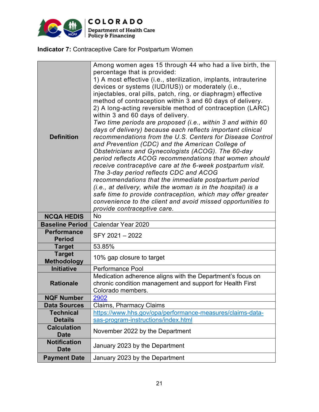

**Indicator 7:** Contraceptive Care for Postpartum Women

| <b>Definition</b>                   | Among women ages 15 through 44 who had a live birth, the<br>percentage that is provided:<br>1) A most effective (i.e., sterilization, implants, intrauterine<br>devices or systems (IUD/IUS)) or moderately (i.e.,<br>injectables, oral pills, patch, ring, or diaphragm) effective<br>method of contraception within 3 and 60 days of delivery.<br>2) A long-acting reversible method of contraception (LARC)<br>within 3 and 60 days of delivery.<br>Two time periods are proposed (i.e., within 3 and within 60<br>days of delivery) because each reflects important clinical<br>recommendations from the U.S. Centers for Disease Control<br>and Prevention (CDC) and the American College of<br>Obstetricians and Gynecologists (ACOG). The 60-day<br>period reflects ACOG recommendations that women should<br>receive contraceptive care at the 6-week postpartum visit.<br>The 3-day period reflects CDC and ACOG<br>recommendations that the immediate postpartum period<br>(i.e., at delivery, while the woman is in the hospital) is a<br>safe time to provide contraception, which may offer greater<br>convenience to the client and avoid missed opportunities to<br>provide contraceptive care. |  |
|-------------------------------------|----------------------------------------------------------------------------------------------------------------------------------------------------------------------------------------------------------------------------------------------------------------------------------------------------------------------------------------------------------------------------------------------------------------------------------------------------------------------------------------------------------------------------------------------------------------------------------------------------------------------------------------------------------------------------------------------------------------------------------------------------------------------------------------------------------------------------------------------------------------------------------------------------------------------------------------------------------------------------------------------------------------------------------------------------------------------------------------------------------------------------------------------------------------------------------------------------------------|--|
| <b>NCQA HEDIS</b>                   | No                                                                                                                                                                                                                                                                                                                                                                                                                                                                                                                                                                                                                                                                                                                                                                                                                                                                                                                                                                                                                                                                                                                                                                                                             |  |
| <b>Baseline Period</b>              | Calendar Year 2020                                                                                                                                                                                                                                                                                                                                                                                                                                                                                                                                                                                                                                                                                                                                                                                                                                                                                                                                                                                                                                                                                                                                                                                             |  |
| <b>Performance</b><br><b>Period</b> | SFY 2021 - 2022                                                                                                                                                                                                                                                                                                                                                                                                                                                                                                                                                                                                                                                                                                                                                                                                                                                                                                                                                                                                                                                                                                                                                                                                |  |
| <b>Target</b>                       | 53.85%                                                                                                                                                                                                                                                                                                                                                                                                                                                                                                                                                                                                                                                                                                                                                                                                                                                                                                                                                                                                                                                                                                                                                                                                         |  |
| <b>Target</b><br><b>Methodology</b> | 10% gap closure to target                                                                                                                                                                                                                                                                                                                                                                                                                                                                                                                                                                                                                                                                                                                                                                                                                                                                                                                                                                                                                                                                                                                                                                                      |  |
| <b>Initiative</b>                   | <b>Performance Pool</b>                                                                                                                                                                                                                                                                                                                                                                                                                                                                                                                                                                                                                                                                                                                                                                                                                                                                                                                                                                                                                                                                                                                                                                                        |  |
| <b>Rationale</b>                    | Medication adherence aligns with the Department's focus on<br>chronic condition management and support for Health First<br>Colorado members.                                                                                                                                                                                                                                                                                                                                                                                                                                                                                                                                                                                                                                                                                                                                                                                                                                                                                                                                                                                                                                                                   |  |
| <b>NQF Number</b>                   | 2902                                                                                                                                                                                                                                                                                                                                                                                                                                                                                                                                                                                                                                                                                                                                                                                                                                                                                                                                                                                                                                                                                                                                                                                                           |  |
| <b>Data Sources</b>                 | <b>Claims, Pharmacy Claims</b>                                                                                                                                                                                                                                                                                                                                                                                                                                                                                                                                                                                                                                                                                                                                                                                                                                                                                                                                                                                                                                                                                                                                                                                 |  |
| <b>Technical</b>                    | https://www.hhs.gov/opa/performance-measures/claims-data-                                                                                                                                                                                                                                                                                                                                                                                                                                                                                                                                                                                                                                                                                                                                                                                                                                                                                                                                                                                                                                                                                                                                                      |  |
| <b>Details</b>                      | sas-program-instructions/index.html                                                                                                                                                                                                                                                                                                                                                                                                                                                                                                                                                                                                                                                                                                                                                                                                                                                                                                                                                                                                                                                                                                                                                                            |  |
| <b>Calculation</b><br><b>Date</b>   | November 2022 by the Department                                                                                                                                                                                                                                                                                                                                                                                                                                                                                                                                                                                                                                                                                                                                                                                                                                                                                                                                                                                                                                                                                                                                                                                |  |
| <b>Notification</b>                 | January 2023 by the Department                                                                                                                                                                                                                                                                                                                                                                                                                                                                                                                                                                                                                                                                                                                                                                                                                                                                                                                                                                                                                                                                                                                                                                                 |  |
| <b>Date</b>                         |                                                                                                                                                                                                                                                                                                                                                                                                                                                                                                                                                                                                                                                                                                                                                                                                                                                                                                                                                                                                                                                                                                                                                                                                                |  |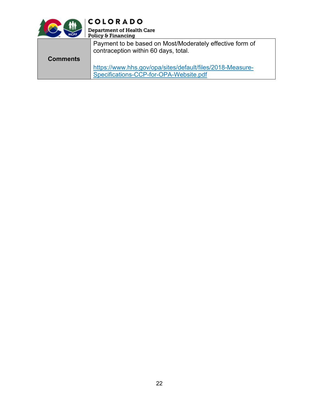

**COLORADO** 

| <br>HCPF        | Department of Health Care<br>Policy & Financing                                                  |
|-----------------|--------------------------------------------------------------------------------------------------|
|                 | Payment to be based on Most/Moderately effective form of<br>contraception within 60 days, total. |
| <b>Comments</b> |                                                                                                  |
|                 | https://www.hhs.gov/opa/sites/default/files/2018-Measure-                                        |
|                 | Specifications-CCP-for-OPA-Website.pdf                                                           |